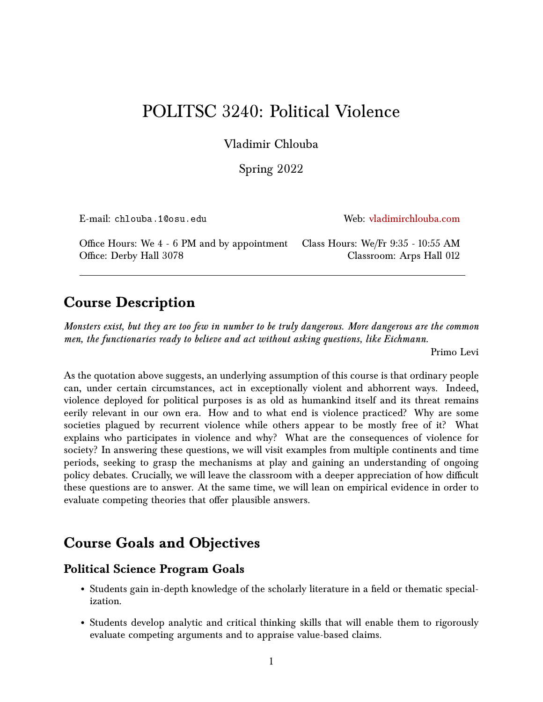# POLITSC 3240: Political Violence

Vladimir Chlouba

Spring 2022

| E-mail: chlouba.10osu.edu                                                                                  | Web: vladimirchlouba.com |
|------------------------------------------------------------------------------------------------------------|--------------------------|
| Office Hours: We 4 - 6 PM and by appointment Class Hours: We/Fr 9:35 - 10:55 AM<br>Office: Derby Hall 3078 | Classroom: Arps Hall 012 |

## **Course Description**

*Monsters exist, but they are too few in number to be truly dangerous. More dangerous are the common men, the functionaries ready to believe and act without asking questions, like Eichmann.*

Primo Levi

As the quotation above suggests, an underlying assumption of this course is that ordinary people can, under certain circumstances, act in exceptionally violent and abhorrent ways. Indeed, violence deployed for political purposes is as old as humankind itself and its threat remains eerily relevant in our own era. How and to what end is violence practiced? Why are some societies plagued by recurrent violence while others appear to be mostly free of it? What explains who participates in violence and why? What are the consequences of violence for society? In answering these questions, we will visit examples from multiple continents and time periods, seeking to grasp the mechanisms at play and gaining an understanding of ongoing policy debates. Crucially, we will leave the classroom with a deeper appreciation of how difficult these questions are to answer. At the same time, we will lean on empirical evidence in order to evaluate competing theories that offer plausible answers.

## **Course Goals and Objectives**

### **Political Science Program Goals**

- Students gain in-depth knowledge of the scholarly literature in a field or thematic specialization.
- Students develop analytic and critical thinking skills that will enable them to rigorously evaluate competing arguments and to appraise value-based claims.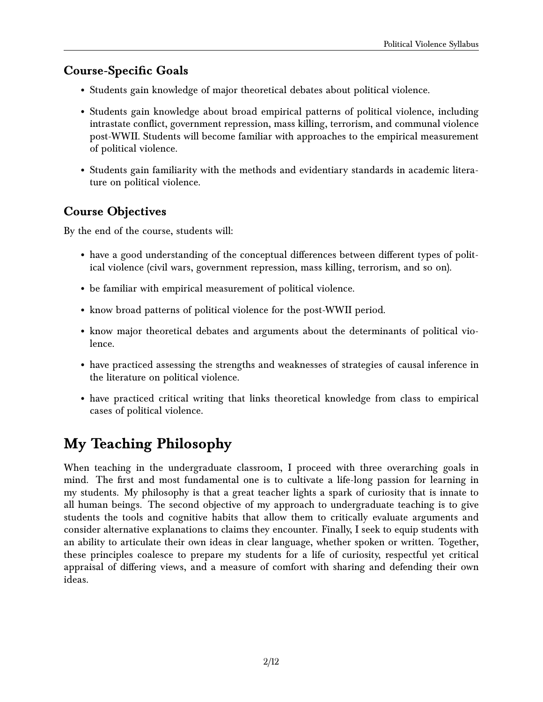#### **Course-Specific Goals**

- Students gain knowledge of major theoretical debates about political violence.
- Students gain knowledge about broad empirical patterns of political violence, including intrastate conflict, government repression, mass killing, terrorism, and communal violence post-WWII. Students will become familiar with approaches to the empirical measurement of political violence.
- Students gain familiarity with the methods and evidentiary standards in academic literature on political violence.

### **Course Objectives**

By the end of the course, students will:

- have a good understanding of the conceptual differences between different types of political violence (civil wars, government repression, mass killing, terrorism, and so on).
- be familiar with empirical measurement of political violence.
- know broad patterns of political violence for the post-WWII period.
- know major theoretical debates and arguments about the determinants of political violence.
- have practiced assessing the strengths and weaknesses of strategies of causal inference in the literature on political violence.
- have practiced critical writing that links theoretical knowledge from class to empirical cases of political violence.

# **My Teaching Philosophy**

When teaching in the undergraduate classroom, I proceed with three overarching goals in mind. The first and most fundamental one is to cultivate a life-long passion for learning in my students. My philosophy is that a great teacher lights a spark of curiosity that is innate to all human beings. The second objective of my approach to undergraduate teaching is to give students the tools and cognitive habits that allow them to critically evaluate arguments and consider alternative explanations to claims they encounter. Finally, I seek to equip students with an ability to articulate their own ideas in clear language, whether spoken or written. Together, these principles coalesce to prepare my students for a life of curiosity, respectful yet critical appraisal of differing views, and a measure of comfort with sharing and defending their own ideas.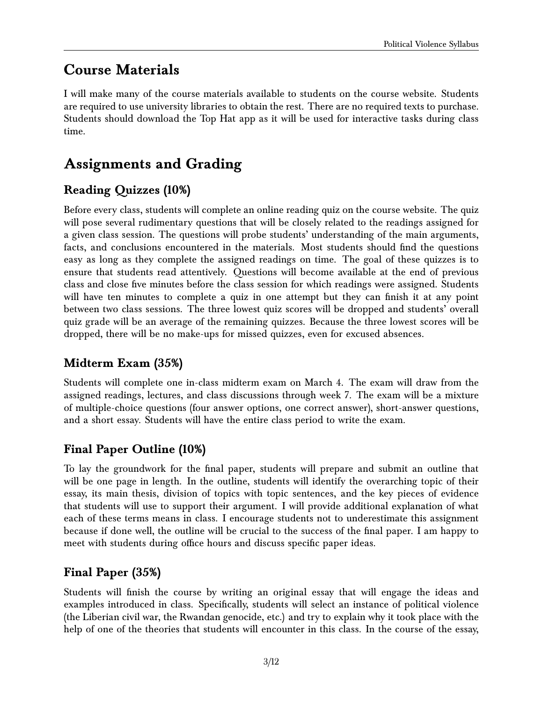## **Course Materials**

I will make many of the course materials available to students on the course website. Students are required to use university libraries to obtain the rest. There are no required texts to purchase. Students should download the Top Hat app as it will be used for interactive tasks during class time.

# **Assignments and Grading**

### **Reading Quizzes (10%)**

Before every class, students will complete an online reading quiz on the course website. The quiz will pose several rudimentary questions that will be closely related to the readings assigned for a given class session. The questions will probe students' understanding of the main arguments, facts, and conclusions encountered in the materials. Most students should find the questions easy as long as they complete the assigned readings on time. The goal of these quizzes is to ensure that students read attentively. Questions will become available at the end of previous class and close five minutes before the class session for which readings were assigned. Students will have ten minutes to complete a quiz in one attempt but they can finish it at any point between two class sessions. The three lowest quiz scores will be dropped and students' overall quiz grade will be an average of the remaining quizzes. Because the three lowest scores will be dropped, there will be no make-ups for missed quizzes, even for excused absences.

### **Midterm Exam (35%)**

Students will complete one in-class midterm exam on March 4. The exam will draw from the assigned readings, lectures, and class discussions through week 7. The exam will be a mixture of multiple-choice questions (four answer options, one correct answer), short-answer questions, and a short essay. Students will have the entire class period to write the exam.

### **Final Paper Outline (10%)**

To lay the groundwork for the final paper, students will prepare and submit an outline that will be one page in length. In the outline, students will identify the overarching topic of their essay, its main thesis, division of topics with topic sentences, and the key pieces of evidence that students will use to support their argument. I will provide additional explanation of what each of these terms means in class. I encourage students not to underestimate this assignment because if done well, the outline will be crucial to the success of the final paper. I am happy to meet with students during office hours and discuss specific paper ideas.

### **Final Paper (35%)**

Students will finish the course by writing an original essay that will engage the ideas and examples introduced in class. Specifically, students will select an instance of political violence (the Liberian civil war, the Rwandan genocide, etc.) and try to explain why it took place with the help of one of the theories that students will encounter in this class. In the course of the essay,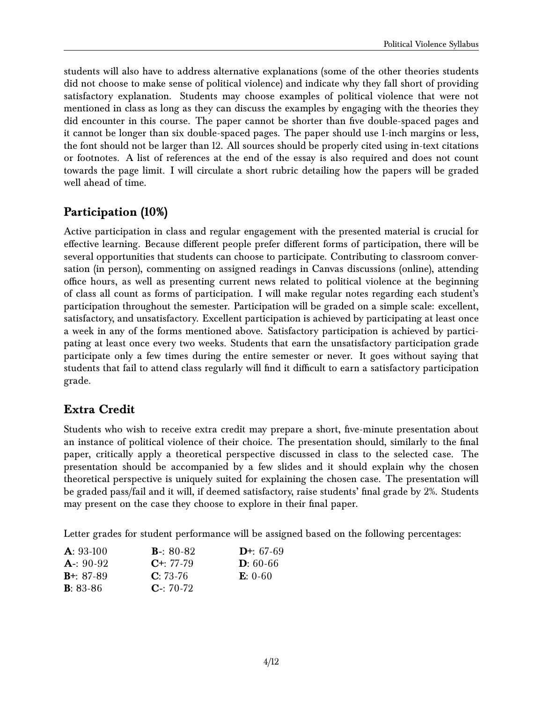students will also have to address alternative explanations (some of the other theories students did not choose to make sense of political violence) and indicate why they fall short of providing satisfactory explanation. Students may choose examples of political violence that were not mentioned in class as long as they can discuss the examples by engaging with the theories they did encounter in this course. The paper cannot be shorter than five double-spaced pages and it cannot be longer than six double-spaced pages. The paper should use 1-inch margins or less, the font should not be larger than 12. All sources should be properly cited using in-text citations or footnotes. A list of references at the end of the essay is also required and does not count towards the page limit. I will circulate a short rubric detailing how the papers will be graded well ahead of time.

### **Participation (10%)**

Active participation in class and regular engagement with the presented material is crucial for effective learning. Because different people prefer different forms of participation, there will be several opportunities that students can choose to participate. Contributing to classroom conversation (in person), commenting on assigned readings in Canvas discussions (online), attending office hours, as well as presenting current news related to political violence at the beginning of class all count as forms of participation. I will make regular notes regarding each student's participation throughout the semester. Participation will be graded on a simple scale: excellent, satisfactory, and unsatisfactory. Excellent participation is achieved by participating at least once a week in any of the forms mentioned above. Satisfactory participation is achieved by participating at least once every two weeks. Students that earn the unsatisfactory participation grade participate only a few times during the entire semester or never. It goes without saying that students that fail to attend class regularly will find it difficult to earn a satisfactory participation grade.

### **Extra Credit**

Students who wish to receive extra credit may prepare a short, five-minute presentation about an instance of political violence of their choice. The presentation should, similarly to the final paper, critically apply a theoretical perspective discussed in class to the selected case. The presentation should be accompanied by a few slides and it should explain why the chosen theoretical perspective is uniquely suited for explaining the chosen case. The presentation will be graded pass/fail and it will, if deemed satisfactory, raise students' final grade by 2%. Students may present on the case they choose to explore in their final paper.

Letter grades for student performance will be assigned based on the following percentages:

| $A: 93-100$      | <b>B</b> -: 80-82 | $D^{+}$ : 67-69 |
|------------------|-------------------|-----------------|
| $A: 90-92$       | $C^{+}$ : 77-79   | $D: 60-66$      |
| $B^{+}$ : 87-89  | $C: 73-76$        | $E: 0-60$       |
| <b>B</b> : 83-86 | $C - 70-72$       |                 |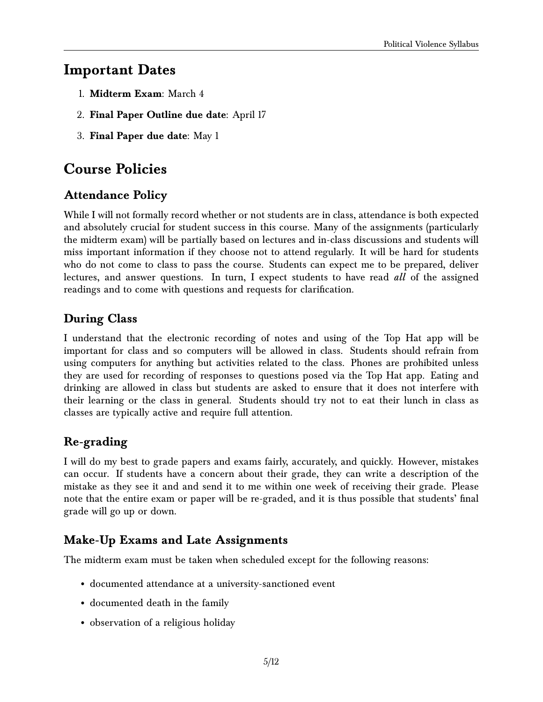## **Important Dates**

- 1. **Midterm Exam**: March 4
- 2. **Final Paper Outline due date**: April 17
- 3. **Final Paper due date**: May 1

## **Course Policies**

### **Attendance Policy**

While I will not formally record whether or not students are in class, attendance is both expected and absolutely crucial for student success in this course. Many of the assignments (particularly the midterm exam) will be partially based on lectures and in-class discussions and students will miss important information if they choose not to attend regularly. It will be hard for students who do not come to class to pass the course. Students can expect me to be prepared, deliver lectures, and answer questions. In turn, I expect students to have read *all* of the assigned readings and to come with questions and requests for clarification.

### **During Class**

I understand that the electronic recording of notes and using of the Top Hat app will be important for class and so computers will be allowed in class. Students should refrain from using computers for anything but activities related to the class. Phones are prohibited unless they are used for recording of responses to questions posed via the Top Hat app. Eating and drinking are allowed in class but students are asked to ensure that it does not interfere with their learning or the class in general. Students should try not to eat their lunch in class as classes are typically active and require full attention.

### **Re-grading**

I will do my best to grade papers and exams fairly, accurately, and quickly. However, mistakes can occur. If students have a concern about their grade, they can write a description of the mistake as they see it and and send it to me within one week of receiving their grade. Please note that the entire exam or paper will be re-graded, and it is thus possible that students' final grade will go up or down.

### **Make-Up Exams and Late Assignments**

The midterm exam must be taken when scheduled except for the following reasons:

- documented attendance at a university-sanctioned event
- documented death in the family
- observation of a religious holiday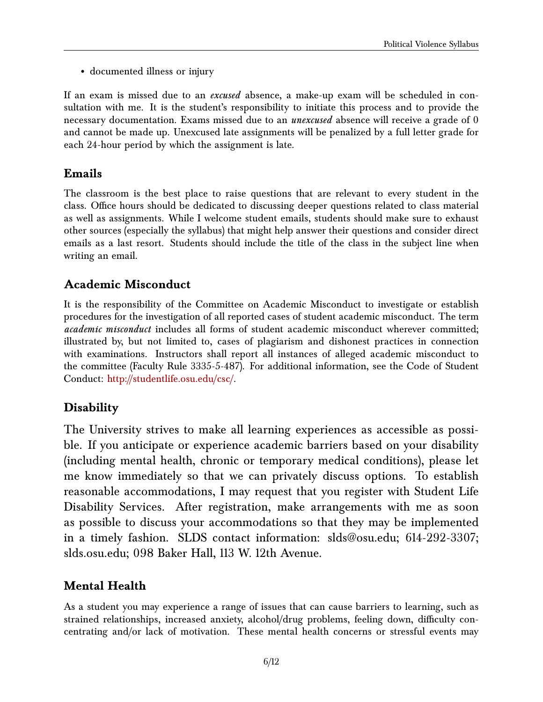• documented illness or injury

If an exam is missed due to an *excused* absence, a make-up exam will be scheduled in consultation with me. It is the student's responsibility to initiate this process and to provide the necessary documentation. Exams missed due to an *unexcused* absence will receive a grade of 0 and cannot be made up. Unexcused late assignments will be penalized by a full letter grade for each 24-hour period by which the assignment is late.

### **Emails**

The classroom is the best place to raise questions that are relevant to every student in the class. Office hours should be dedicated to discussing deeper questions related to class material as well as assignments. While I welcome student emails, students should make sure to exhaust other sources (especially the syllabus) that might help answer their questions and consider direct emails as a last resort. Students should include the title of the class in the subject line when writing an email.

### **Academic Misconduct**

It is the responsibility of the Committee on Academic Misconduct to investigate or establish procedures for the investigation of all reported cases of student academic misconduct. The term *academic misconduct* includes all forms of student academic misconduct wherever committed; illustrated by, but not limited to, cases of plagiarism and dishonest practices in connection with examinations. Instructors shall report all instances of alleged academic misconduct to the committee (Faculty Rule 3335-5-487). For additional information, see the Code of Student Conduct: [http://studentlife.osu.edu/csc/.](http://studentlife.osu.edu/csc/)

### **Disability**

The University strives to make all learning experiences as accessible as possible. If you anticipate or experience academic barriers based on your disability (including mental health, chronic or temporary medical conditions), please let me know immediately so that we can privately discuss options. To establish reasonable accommodations, I may request that you register with Student Life Disability Services. After registration, make arrangements with me as soon as possible to discuss your accommodations so that they may be implemented in a timely fashion. SLDS contact information: slds@osu.edu; 614-292-3307; slds.osu.edu; 098 Baker Hall, 113 W. 12th Avenue.

### **Mental Health**

As a student you may experience a range of issues that can cause barriers to learning, such as strained relationships, increased anxiety, alcohol/drug problems, feeling down, difficulty concentrating and/or lack of motivation. These mental health concerns or stressful events may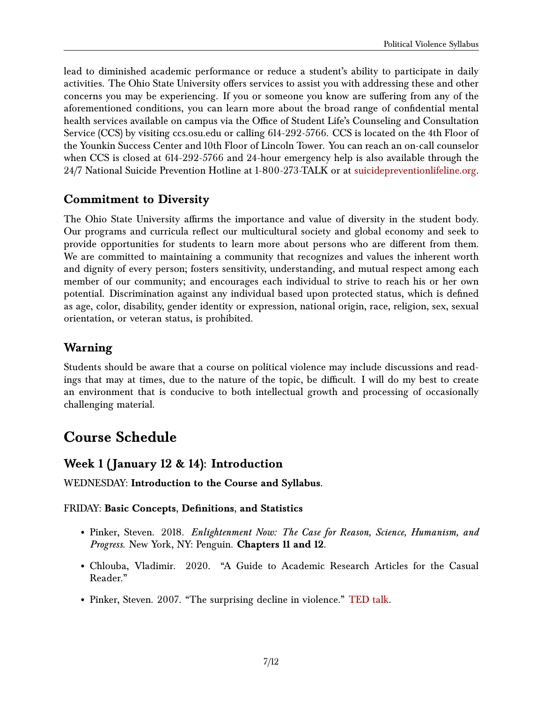lead to diminished academic performance or reduce a student's ability to participate in daily activities. The Ohio State University offers services to assist you with addressing these and other concerns you may be experiencing. If you or someone you know are suffering from any of the aforementioned conditions, you can learn more about the broad range of confidential mental health services available on campus via the Office of Student Life's Counseling and Consultation Service (CCS) by visiting ccs.osu.edu or calling 614-292-5766. CCS is located on the 4th Floor of the Younkin Success Center and 10th Floor of Lincoln Tower. You can reach an on-call counselor when CCS is closed at 614-292-5766 and 24-hour emergency help is also available through the 24/7 National Suicide Prevention Hotline at 1-800-273-TALK or at [suicidepreventionlifeline.org.](https://suicidepreventionlifeline.org/)

#### **Commitment to Diversity**

The Ohio State University affirms the importance and value of diversity in the student body. Our programs and curricula reflect our multicultural society and global economy and seek to provide opportunities for students to learn more about persons who are different from them. We are committed to maintaining a community that recognizes and values the inherent worth and dignity of every person; fosters sensitivity, understanding, and mutual respect among each member of our community; and encourages each individual to strive to reach his or her own potential. Discrimination against any individual based upon protected status, which is defined as age, color, disability, gender identity or expression, national origin, race, religion, sex, sexual orientation, or veteran status, is prohibited.

### **Warning**

Students should be aware that a course on political violence may include discussions and readings that may at times, due to the nature of the topic, be difficult. I will do my best to create an environment that is conducive to both intellectual growth and processing of occasionally challenging material.

## **Course Schedule**

#### **Week 1 ( January 12 & 14): Introduction**

WEDNESDAY: **Introduction to the Course and Syllabus.**

#### FRIDAY: **Basic Concepts, Definitions, and Statistics**

- Pinker, Steven. 2018. *Enlightenment Now: The Case for Reason, Science, Humanism, and Progress*. New York, NY: Penguin. **Chapters 11 and 12**.
- Chlouba, Vladimir. 2020. "A Guide to Academic Research Articles for the Casual Reader."
- Pinker, Steven. 2007. "The surprising decline in violence." [TED talk.](https://www.ted.com/talks/steven_pinker_the_surprising_decline_in_violence#t-294827)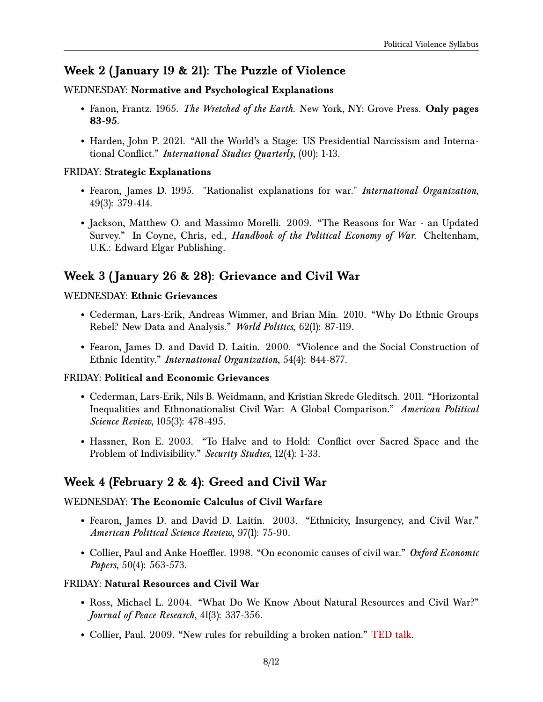### **Week 2 ( January 19 & 21): The Puzzle of Violence**

#### WEDNESDAY: **Normative and Psychological Explanations**

- Fanon, Frantz. 1965. *The Wretched of the Earth*. New York, NY: Grove Press. **Only pages 83-95**.
- Harden, John P. 2021. "All the World's a Stage: US Presidential Narcissism and International Conflict." *International Studies Quarterly*, (00): 1-13.

#### FRIDAY: **Strategic Explanations**

- Fearon, James D. 1995. "Rationalist explanations for war." *International Organization*, 49(3): 379-414.
- Jackson, Matthew O. and Massimo Morelli. 2009. "The Reasons for War an Updated Survey." In Coyne, Chris, ed., *Handbook of the Political Economy of War*. Cheltenham, U.K.: Edward Elgar Publishing.

### **Week 3 ( January 26 & 28): Grievance and Civil War**

#### WEDNESDAY: **Ethnic Grievances**

- Cederman, Lars-Erik, Andreas Wimmer, and Brian Min. 2010. "Why Do Ethnic Groups Rebel? New Data and Analysis." *World Politics*, 62(1): 87-119.
- Fearon, James D. and David D. Laitin. 2000. "Violence and the Social Construction of Ethnic Identity." *International Organization*, 54(4): 844-877.

#### FRIDAY: **Political and Economic Grievances**

- Cederman, Lars-Erik, Nils B. Weidmann, and Kristian Skrede Gleditsch. 2011. "Horizontal Inequalities and Ethnonationalist Civil War: A Global Comparison." *American Political Science Review*, 105(3): 478-495.
- Hassner, Ron E. 2003. "To Halve and to Hold: Conflict over Sacred Space and the Problem of Indivisibility." *Security Studies*, 12(4): 1-33.

### **Week 4 (February 2 & 4): Greed and Civil War**

#### WEDNESDAY: **The Economic Calculus of Civil Warfare**

- Fearon, James D. and David D. Laitin. 2003. "Ethnicity, Insurgency, and Civil War." *American Political Science Review*, 97(1): 75-90.
- Collier, Paul and Anke Hoeffler. 1998. "On economic causes of civil war." *Oxford Economic Papers*, 50(4): 563-573.

#### FRIDAY: **Natural Resources and Civil War**

- Ross, Michael L. 2004. "What Do We Know About Natural Resources and Civil War?" *Journal of Peace Research*, 41(3): 337-356.
- Collier, Paul. 2009. "New rules for rebuilding a broken nation." [TED talk.](https://www.ted.com/talks/paul_collier_new_rules_for_rebuilding_a_broken_nation#t-345267)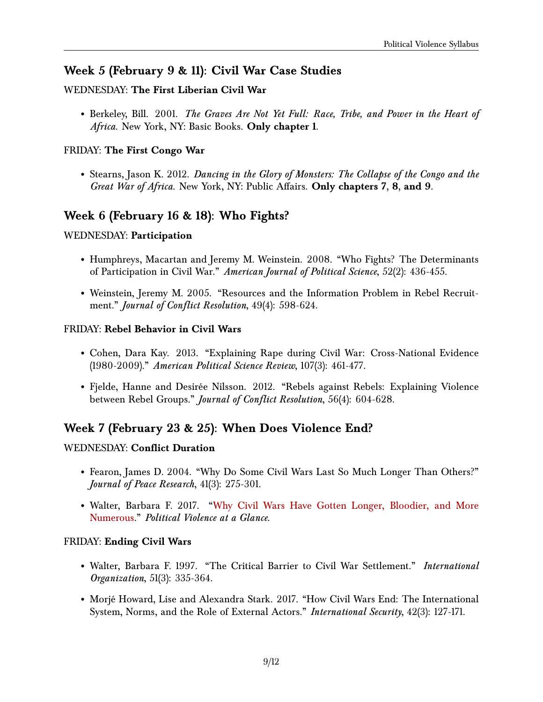### **Week 5 (February 9 & 11): Civil War Case Studies**

#### WEDNESDAY: **The First Liberian Civil War**

• Berkeley, Bill. 2001. *The Graves Are Not Yet Full: Race, Tribe, and Power in the Heart of Africa*. New York, NY: Basic Books. **Only chapter 1**.

#### FRIDAY: **The First Congo War**

• Stearns, Jason K. 2012. *Dancing in the Glory of Monsters: The Collapse of the Congo and the Great War of Africa*. New York, NY: Public Affairs. **Only chapters 7, 8, and 9**.

### **Week 6 (February 16 & 18): Who Fights?**

#### WEDNESDAY: **Participation**

- Humphreys, Macartan and Jeremy M. Weinstein. 2008. "Who Fights? The Determinants of Participation in Civil War." *American Journal of Political Science*, 52(2): 436-455.
- Weinstein, Jeremy M. 2005. "Resources and the Information Problem in Rebel Recruitment." *Journal of Conflict Resolution*, 49(4): 598-624.

#### FRIDAY: **Rebel Behavior in Civil Wars**

- Cohen, Dara Kay. 2013. "Explaining Rape during Civil War: Cross-National Evidence (1980-2009)." *American Political Science Review*, 107(3): 461-477.
- Fjelde, Hanne and Desirée Nilsson. 2012. "Rebels against Rebels: Explaining Violence between Rebel Groups." *Journal of Conflict Resolution*, 56(4): 604-628.

### **Week 7 (February 23 & 25): When Does Violence End?**

#### WEDNESDAY: **Conflict Duration**

- Fearon, James D. 2004. "Why Do Some Civil Wars Last So Much Longer Than Others?" *Journal of Peace Research*, 41(3): 275-301.
- Walter, Barbara F. 2017. ["Why Civil Wars Have Gotten Longer, Bloodier, and More](http://politicalviolenceataglance.org/2017/07/05/why-civil-wars-have-gotten-longer-bloodier-and-more-numerous/) [Numerous.](http://politicalviolenceataglance.org/2017/07/05/why-civil-wars-have-gotten-longer-bloodier-and-more-numerous/)" *Political Violence at a Glance*.

#### FRIDAY: **Ending Civil Wars**

- Walter, Barbara F. 1997. "The Critical Barrier to Civil War Settlement." *International Organization*, 51(3): 335-364.
- Morjé Howard, Lise and Alexandra Stark. 2017. "How Civil Wars End: The International System, Norms, and the Role of External Actors." *International Security*, 42(3): 127-171.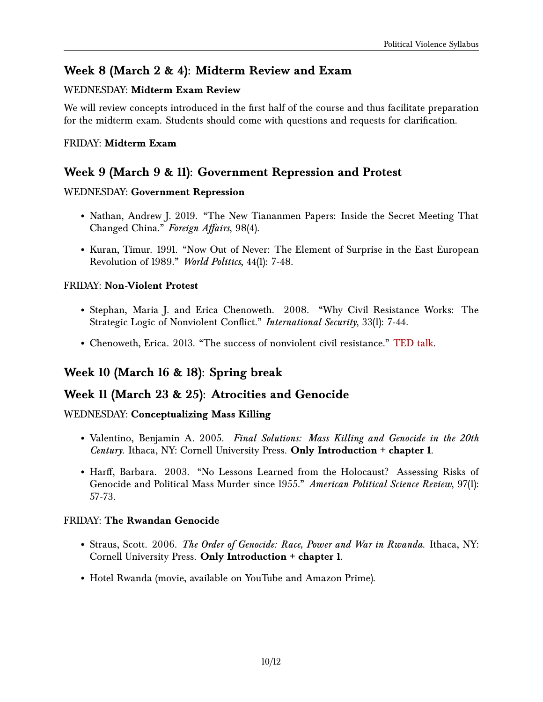### **Week 8 (March 2 & 4): Midterm Review and Exam**

#### WEDNESDAY: **Midterm Exam Review**

We will review concepts introduced in the first half of the course and thus facilitate preparation for the midterm exam. Students should come with questions and requests for clarification.

#### FRIDAY: **Midterm Exam**

### **Week 9 (March 9 & 11): Government Repression and Protest**

#### WEDNESDAY: **Government Repression**

- Nathan, Andrew J. 2019. "The New Tiananmen Papers: Inside the Secret Meeting That Changed China." *Foreign Affairs*, 98(4).
- Kuran, Timur. 1991. "Now Out of Never: The Element of Surprise in the East European Revolution of 1989." *World Politics*, 44(1): 7-48.

#### FRIDAY: **Non-Violent Protest**

- Stephan, Maria J. and Erica Chenoweth. 2008. "Why Civil Resistance Works: The Strategic Logic of Nonviolent Conflict." *International Security*, 33(1): 7-44.
- Chenoweth, Erica. 2013. "The success of nonviolent civil resistance." [TED talk.](https://www.youtube.com/watch?v=YJSehRlU34w)

### **Week 10 (March 16 & 18): Spring break**

### **Week 11 (March 23 & 25): Atrocities and Genocide**

#### WEDNESDAY: **Conceptualizing Mass Killing**

- Valentino, Benjamin A. 2005. *Final Solutions: Mass Killing and Genocide in the 20th Century.* Ithaca, NY: Cornell University Press. **Only Introduction + chapter 1**.
- Harff, Barbara. 2003. "No Lessons Learned from the Holocaust? Assessing Risks of Genocide and Political Mass Murder since 1955." *American Political Science Review*, 97(1): 57-73.

#### FRIDAY: **The Rwandan Genocide**

- Straus, Scott. 2006. *The Order of Genocide: Race, Power and War in Rwanda*. Ithaca, NY: Cornell University Press. **Only Introduction + chapter 1**.
- Hotel Rwanda (movie, available on YouTube and Amazon Prime).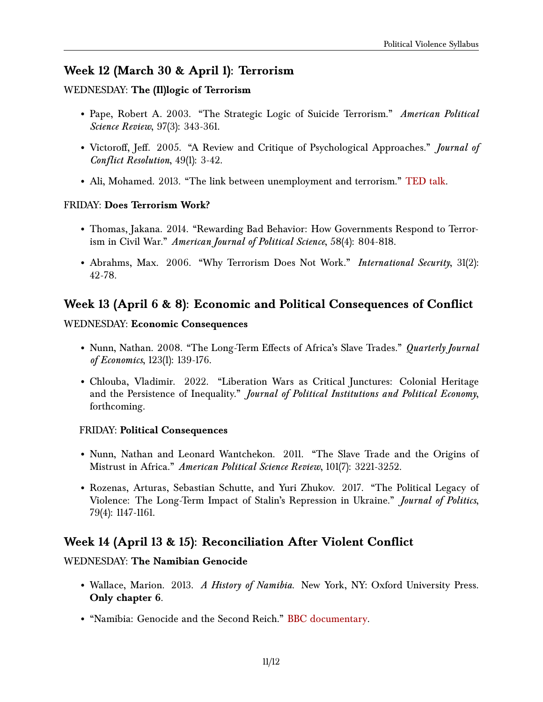### **Week 12 (March 30 & April 1): Terrorism**

#### WEDNESDAY: **The (Il)logic of Terrorism**

- Pape, Robert A. 2003. "The Strategic Logic of Suicide Terrorism." *American Political Science Review*, 97(3): 343-361.
- Victoroff, Jeff. 2005. "A Review and Critique of Psychological Approaches." *Journal of Conflict Resolution*, 49(1): 3-42.
- Ali, Mohamed. 2013. "The link between unemployment and terrorism." [TED talk.](https://www.ted.com/talks/mohamed_ali_the_link_between_unemployment_and_terrorism)

#### FRIDAY: **Does Terrorism Work?**

- Thomas, Jakana. 2014. "Rewarding Bad Behavior: How Governments Respond to Terrorism in Civil War." *American Journal of Political Science*, 58(4): 804-818.
- Abrahms, Max. 2006. "Why Terrorism Does Not Work." *International Security*, 31(2): 42-78.

# **Week 13 (April 6 & 8): Economic and Political Consequences of Conflict**

#### WEDNESDAY: **Economic Consequences**

- Nunn, Nathan. 2008. "The Long-Term Effects of Africa's Slave Trades." *Quarterly Journal of Economics*, 123(1): 139-176.
- Chlouba, Vladimir. 2022. "Liberation Wars as Critical Junctures: Colonial Heritage and the Persistence of Inequality." *Journal of Political Institutions and Political Economy*, forthcoming.

#### FRIDAY: **Political Consequences**

- Nunn, Nathan and Leonard Wantchekon. 2011. "The Slave Trade and the Origins of Mistrust in Africa." *American Political Science Review*, 101(7): 3221-3252.
- Rozenas, Arturas, Sebastian Schutte, and Yuri Zhukov. 2017. "The Political Legacy of Violence: The Long-Term Impact of Stalin's Repression in Ukraine." *Journal of Politics*, 79(4): 1147-1161.

### **Week 14 (April 13 & 15): Reconciliation After Violent Conflict**

#### WEDNESDAY: **The Namibian Genocide**

- Wallace, Marion. 2013. *A History of Namibia*. New York, NY: Oxford University Press. **Only chapter 6**.
- "Namibia: Genocide and the Second Reich." [BBC documentary.](https://www.youtube.com/watch?v=Rbon6HqzjEI)